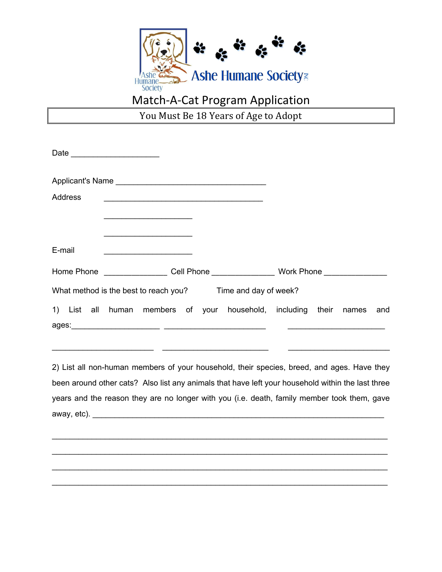

## Match-A-Cat Program Application

You Must Be 18 Years of Age to Adopt

| Date ____________________                                                                   |  |                                                                                                                       |  |                                                              |  |       |     |
|---------------------------------------------------------------------------------------------|--|-----------------------------------------------------------------------------------------------------------------------|--|--------------------------------------------------------------|--|-------|-----|
|                                                                                             |  |                                                                                                                       |  |                                                              |  |       |     |
| Address                                                                                     |  |                                                                                                                       |  |                                                              |  |       |     |
|                                                                                             |  | <u> 1980 - Johann John Stone, markin amerikan bisa dalam pemberana dan bisa dalam pemberana dan bisa dalam pembe</u>  |  |                                                              |  |       |     |
|                                                                                             |  | <u>experience</u> and the contract of the contract of the contract of the contract of the contract of the contract of |  |                                                              |  |       |     |
| E-mail                                                                                      |  |                                                                                                                       |  |                                                              |  |       |     |
| Home Phone ____________________ Cell Phone ___________________ Work Phone _________________ |  |                                                                                                                       |  |                                                              |  |       |     |
| What method is the best to reach you? Time and day of week?                                 |  |                                                                                                                       |  |                                                              |  |       |     |
|                                                                                             |  |                                                                                                                       |  | 1) List all human members of your household, including their |  | names | and |
|                                                                                             |  |                                                                                                                       |  |                                                              |  |       |     |

2) List all non-human members of your household, their species, breed, and ages. Have they been around other cats? Also list any animals that have left your household within the last three years and the reason they are no longer with you (i.e. death, family member took them, gave away, etc). \_\_\_\_\_\_\_\_\_\_\_\_\_\_\_\_\_\_\_\_\_\_\_\_\_\_\_\_\_\_\_\_\_\_\_\_\_\_\_\_\_\_\_\_\_\_\_\_\_\_\_\_\_\_\_\_\_\_\_\_\_\_\_\_\_\_

 $\_$ 

 $\_$ 

 $\_$ 

\_\_\_\_\_\_\_\_\_\_\_\_\_\_\_\_\_\_\_\_\_\_\_\_\_\_\_\_\_\_\_\_\_\_\_\_\_\_\_\_\_\_\_\_\_\_\_\_\_\_\_\_\_\_\_\_\_\_\_\_\_\_\_\_\_\_\_\_\_\_\_\_\_\_\_\_

 $\_$  , and the state of the state of the state of the state of the state of the state of the state of the state of the state of the state of the state of the state of the state of the state of the state of the state of the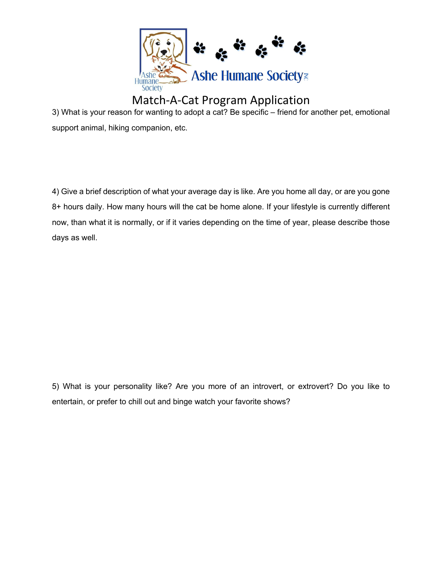

## Match-A-Cat Program Application

3) What is your reason for wanting to adopt a cat? Be specific – friend for another pet, emotional support animal, hiking companion, etc.

4) Give a brief description of what your average day is like. Are you home all day, or are you gone 8+ hours daily. How many hours will the cat be home alone. If your lifestyle is currently different now, than what it is normally, or if it varies depending on the time of year, please describe those days as well.

5) What is your personality like? Are you more of an introvert, or extrovert? Do you like to entertain, or prefer to chill out and binge watch your favorite shows?